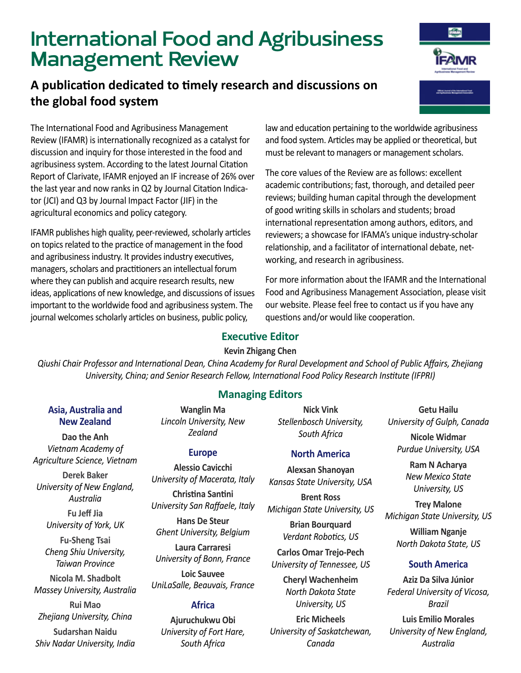# **International Food and Agribusiness Management Review**

# **A publication dedicated to timely research and discussions on the global food system**

The International Food and Agribusiness Management Review (IFAMR) is internationally recognized as a catalyst for discussion and inquiry for those interested in the food and agribusiness system. According to the latest Journal Citation Report of Clarivate, IFAMR enjoyed an IF increase of 26% over the last year and now ranks in Q2 by Journal Citation Indicator (JCI) and Q3 by Journal Impact Factor (JIF) in the agricultural economics and policy category.

IFAMR publishes high quality, peer-reviewed, scholarly articles on topics related to the practice of management in the food and agribusiness industry. It provides industry executives, managers, scholars and practitioners an intellectual forum where they can publish and acquire research results, new ideas, applications of new knowledge, and discussions of issues important to the worldwide food and agribusiness system. The journal welcomes scholarly articles on business, public policy,

law and education pertaining to the worldwide agribusiness and food system. Articles may be applied or theoretical, but must be relevant to managers or management scholars.

The core values of the Review are as follows: excellent academic contributions; fast, thorough, and detailed peer reviews; building human capital through the development of good writing skills in scholars and students; broad international representation among authors, editors, and reviewers; a showcase for IFAMA's unique industry-scholar relationship, and a facilitator of international debate, networking, and research in agribusiness.

For more information about the IFAMR and the International Food and Agribusiness Management Association, please visit our website. Please feel free to contact us if you have any questions and/or would like cooperation.

## **Executive Editor**

#### **Kevin Zhigang Chen**

*Qiushi Chair Professor and International Dean, China Academy for Rural Development and School of Public Affairs, Zhejiang University, China; and Senior Research Fellow, International Food Policy Research Institute (IFPRI)*

## **Managing Editors**

**Nick Vink** *Stellenbosch University, South Africa*

#### **North America**

**Alexsan Shanoyan** *Kansas State University, USA*

**Brent Ross** *Michigan State University, US*

**Brian Bourquard** *Verdant Robotics, US*

**Carlos Omar Trejo-Pech** *University of Tennessee, US*

> **Cheryl Wachenheim** *North Dakota State University, US*

**Eric Micheels** *University of Saskatchewan, Canada*

**Getu Hailu** *University of Gulph, Canada*

**Nicole Widmar** *Purdue University, USA*

> **Ram N Acharya** *New Mexico State University, US*

**Trey Malone** *Michigan State University, US*

**William Nganje** *North Dakota State, US*

## **South America**

**Aziz Da Silva Júnior** *Federal University of Vicosa, Brazil* **Luis Emilio Morales** *University of New England, Australia*

#### **Asia, Australia and New Zealand**

**Dao the Anh** *Vietnam Academy of Agriculture Science, Vietnam*

**Derek Baker** *University of New England, Australia*

> **Fu Jeff Jia** *University of York, UK*

> **Fu-Sheng Tsai** *Cheng Shiu University, Taiwan Province*

**Nicola M. Shadbolt** *Massey University, Australia* 

**Rui Mao** *Zhejiang University, China* **Sudarshan Naidu** *Shiv Nadar University, India* 

*Zealand* **Europe**

**Wanglin Ma** *Lincoln University, New* 

**Alessio Cavicchi** *University of Macerata, Italy* **Christina Santini**

*University San Raffaele, Italy* 

**Hans De Steur** *Ghent University, Belgium*

**Laura Carraresi** *University of Bonn, France*

**Loic Sauvee** *UniLaSalle, Beauvais, France* 

## **Africa**

**Ajuruchukwu Obi** *University of Fort Hare, South Africa*